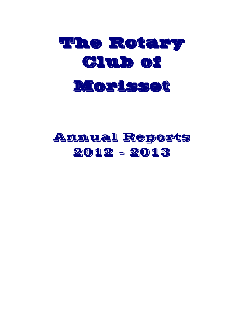

# Annual Reports 2012 - 2013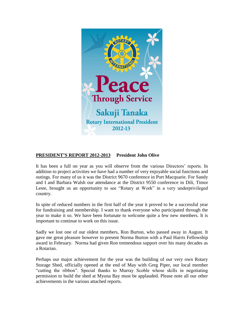

## **PRESIDENT'S REPORT 2012-2013 President John Olive**

It has been a full on year as you will observe from the various Directors' reports. In addition to project activities we have had a number of very enjoyable social functions and outings. For many of us it was the District 9670 conference in Port Macquarie. For Sandy and I and Barbara Walsh our attendance at the District 9550 conference in Dili, Timor Leste, brought us an opportunity to see "Rotary at Work" in a very underprivileged country.

In spite of reduced numbers in the first half of the year it proved to be a successful year for fundraising and membership. I want to thank everyone who participated through the year to make it so. We have been fortunate to welcome quite a few new members. It is important to continue to work on this issue.

Sadly we lost one of our oldest members, Ron Burton, who passed away in August. It gave me great pleasure however to present Norma Burton with a Paul Harris Fellowship award in February. Norma had given Ron tremendous support over his many decades as a Rotarian.

Perhaps our major achievement for the year was the building of our very own Rotary Storage Shed, officially opened at the end of May with Greg Piper, our local member "cutting the ribbon". Special thanks to Murray Scoble whose skills in negotiating permission to build the shed at Myuna Bay must be applauded. Please note all our other achievements in the various attached reports.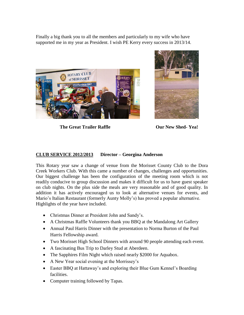Finally a big thank you to all the members and particularly to my wife who have supported me in my year as President. I wish PE Kerry every success in 2013/14.



**The Great Trailer Raffle Our New Shed- Yea!**



# **CLUB SERVICE 2012/2013 Director – Georgina Anderson**

This Rotary year saw a change of venue from the Morisset County Club to the Dora Creek Workers Club. With this came a number of changes, challenges and opportunities. Our biggest challenge has been the configuration of the meeting room which is not readily conducive to group discussion and makes it difficult for us to have guest speaker on club nights. On the plus side the meals are very reasonable and of good quality. In addition it has actively encouraged us to look at alternative venues for events, and Mario's Italian Restaurant (formerly Aunty Molly's) has proved a popular alternative. Highlights of the year have included.

- Christmas Dinner at President John and Sandy's.
- A Christmas Raffle Volunteers thank you BBQ at the Mandalong Art Gallery
- Annual Paul Harris Dinner with the presentation to Norma Burton of the Paul Harris Fellowship award.
- Two Morisset High School Dinners with around 90 people attending each event.
- A fascinating Bus Trip to Darley Stud at Aberdeen.
- The Sapphires Film Night which raised nearly \$2000 for Aquabox.
- A New Year social evening at the Morrissey's
- Easter BBQ at Hattaway's and exploring their Blue Gum Kennel's Boarding facilities.
- Computer training followed by Tapas.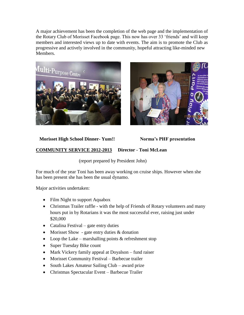A major achievement has been the completion of the web page and the implementation of the Rotary Club of Morisset Facebook page. This now has over 33 'friends' and will keep members and interested views up to date with events. The aim is to promote the Club as progressive and actively involved in the community, hopeful attracting like-minded new Members.





# **Morisset High School Dinner- Yum!! Norma's PHF presentation**

# **COMMUNITY SERVICE 2012-2013 Director - Toni McLean**

(report prepared by President John)

For much of the year Toni has been away working on cruise ships. However when she has been present she has been the usual dynamo.

Major activities undertaken:

- Film Night to support Aquabox
- Christmas Trailer raffle with the help of Friends of Rotary volunteers and many hours put in by Rotarians it was the most successful ever, raising just under \$20,000
- Catalina Festival gate entry duties
- Morisset Show gate entry duties  $&$  donation
- Loop the Lake marshalling points  $&$  refreshment stop
- Super Tuesday Bike count
- Mark Vickery family appeal at Doyalson fund raiser
- Morisset Community Festival Barbecue trailer
- South Lakes Amateur Sailing Club award prize
- Christmas Spectacular Event Barbecue Trailer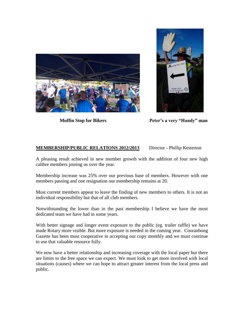



**Muffin Stop for Bikers Peter's a very "Handy" man** 

# **MEMBERSHIP/PUBLIC RELATIONS 2012/2013** Director - Phillip Kesterton

A pleasing result achieved in new member growth with the addition of four new high calibre members joining us over the year.

Membership increase was 25% over our previous base of members. However with one members passing and one resignation our membership remains at 20.

Most current members appear to leave the finding of new members to others. It is not an individual responsibility but that of all club members.

Notwithstanding the lower than in the past membership I believe we have the most dedicated team we have had in some years.

With better signage and longer event exposure to the public (eg. trailer raffle) we have made Rotary more visible. But more exposure is needed in the coming year. Cooranbong Gazette has been most cooperative in accepting our copy monthly and we must continue to use that valuable resource fully.

We now have a better relationship and increasing coverage with the local paper but there are limits to the free space we can expect. We must look to get more involved with local situations (causes) where we can hope to attract greater interest from the local press and public.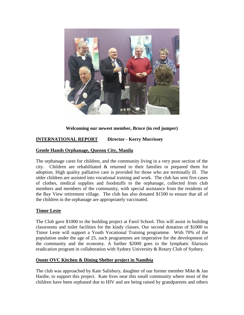

# **Welcoming our newest member, Bruce (in red jumper)**

# **INTERNATIONAL REPORT Director - Kerry Morrissey**

### **Gentle Hands Orphanage, Quezon City, Manila**

The orphanage cares for children, and the community living in a very poor section of the city. Children are rehabilitated & returned to their families or prepared them for adoption. High quality palliative care is provided for those who are terminally ill. The older children are assisted into vocational training and work. The club has sent five cases of clothes, medical supplies and foodstuffs to the orphanage, collected from club members and members of the community, with special assistance from the residents of the Bay View retirement village. The club has also donated \$1500 to ensure that all of the children in the orphanage are appropriately vaccinated.

#### **Timor Leste**

The Club gave \$1000 to the building project at Farol School. This will assist in building classrooms and toilet facilities for the kindy classes. Our second donation of \$1000 to Timor Leste will support a Youth Vocational Training programme. With 70% of the population under the age of 25, such programmes are imperative for the development of the community and the economy. A further \$2000 goes to the lymphatic filariasis eradication program in collaboration with Sydney University & Rotary Club of Sydney.

#### **Oonte OVC Kitchen & Dining Shelter project in Namibia**

The club was approached by Kate Salisbury, daughter of our former member Mike & Jan Hardie, to support this project. Kate lives near this small community where most of the children have been orphaned due to HIV and are being raised by grandparents and others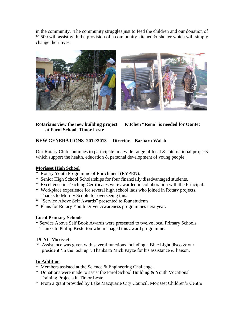in the community. The community struggles just to feed the children and our donation of \$2500 will assist with the provision of a community kitchen  $\&$  shelter which will simply change their lives.





**Rotarians view the new building project Kitchen "Reno" is needed for Oonte! at Farol School, Timor Leste** 

# **NEW GENERATIONS 2012/2013 Director – Barbara Walsh**

Our Rotary Club continues to participate in a wide range of local & international projects which support the health, education  $\&$  personal development of young people.

# **Morisset High School**

- \* Rotary Youth Programme of Enrichment (RYPEN).
- \* Senior High School Scholarships for four financially disadvantaged students.
- \* Excellence in Teaching Certificates were awarded in collaboration with the Principal.
- \* Workplace experience for several high school lads who joined in Rotary projects. Thanks to Murray Scoble for overseeing this.
- \* "Service Above Self Awards" presented to four students.
- \* Plans for Rotary Youth Driver Awareness programmes next year.

# **Local Primary Schools**

\* Service Above Self Book Awards were presented to twelve local Primary Schools. Thanks to Phillip Kesterton who managed this award programme.

# **PCYC Morisset**

\* Assistance was given with several functions including a Blue Light disco & our president 'In the lock up". Thanks to Mick Payze for his assistance & liaison.

# **In Addition**

- \* Members assisted at the Science & Engineering Challenge.
- \* Donations were made to assist the Farol School Building & Youth Vocational Training Projects in Timor Leste.
- \* From a grant provided by Lake Macquarie City Council, Morisset Children's Centre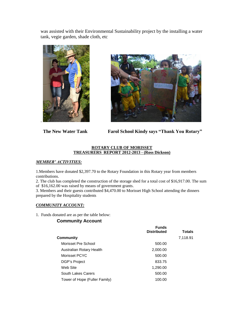was assisted with their Environmental Sustainability project by the installing a water tank, vegie garden, shade cloth, etc





 **The New Water Tank Farol School Kindy says "Thank You Rotary"**

#### **ROTARY CLUB OF MORISSET TREASURERS REPORT 2012-2013 - (Ross Dickson)**

#### *MEMBER' ACTIVITIES:*

1.Members have donated \$2,397.70 to the Rotary Foundation in this Rotary year from members contributions.

2. The club has completed the construction of the storage shed for a total cost of \$16,917.00. The sum of \$16,162.00 was raised by means of government grants.

3. Members and their guests contributed \$4,470.00 to Morisset High School attending the dinners prepared by the Hospitality students

#### *COMMUNITY ACCOUNT:*

1. Funds donated are as per the table below:

#### **Community Account**

|                               | <b>Funds</b><br><b>Distributed</b> | <b>Totals</b> |
|-------------------------------|------------------------------------|---------------|
| Community                     |                                    | 7,118.91      |
| Morisset Pre School           | 500.00                             |               |
| Australian Rotary Health      | 2,000.00                           |               |
| Morisset PCYC                 | 500.00                             |               |
| DGP's Project                 | 833.75                             |               |
| Web Site                      | 1,290.00                           |               |
| South Lakes Carers            | 500.00                             |               |
| Tower of Hope (Fuller Family) | 100.00                             |               |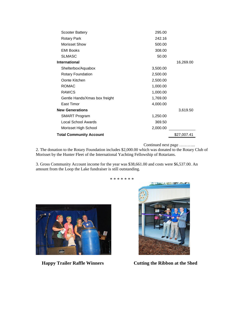| <b>Total Community Account</b> |          | \$27,007.41 |
|--------------------------------|----------|-------------|
| Morisset High School           | 2,000.00 |             |
| Local School Awards            | 369.50   |             |
| <b>SMART Program</b>           | 1,250.00 |             |
| <b>New Generations</b>         |          | 3,619.50    |
| East Timor                     | 4,000.00 |             |
| Gentle Hands/Xmas box freight  | 1,769.00 |             |
| <b>RAWCS</b>                   | 1,000.00 |             |
| <b>ROMAC</b>                   | 1,000.00 |             |
| Oonte Kitchen                  | 2,500.00 |             |
| Rotary Foundation              | 2,500.00 |             |
| Shelterbox/Aquabox             | 3,500.00 |             |
| <b>International</b>           |          | 16,269.00   |
| <b>SLMASC</b>                  | 50.00    |             |
| <b>EMI Books</b>               | 308.00   |             |
| Morisset Show                  | 500.00   |             |
| Rotary Park                    | 242.16   |             |
| Scooter Battery                | 295.00   |             |

Continued next page ………...

2. The donation to the Rotary Foundation includes \$2,000.00 which was donated to the Rotary Club of Morisset by the Hunter Fleet of the International Yachting Fellowship of Rotarians.

\* \* \* \* \* \* \*

3. Gross Community Account income for the year was \$38,661.00 and costs were \$6,537.00. An amount from the Loop the Lake fundraiser is still outstanding.



![](_page_8_Picture_6.jpeg)

**Happy Trailer Raffle Winners Cutting the Ribbon at the Shed**